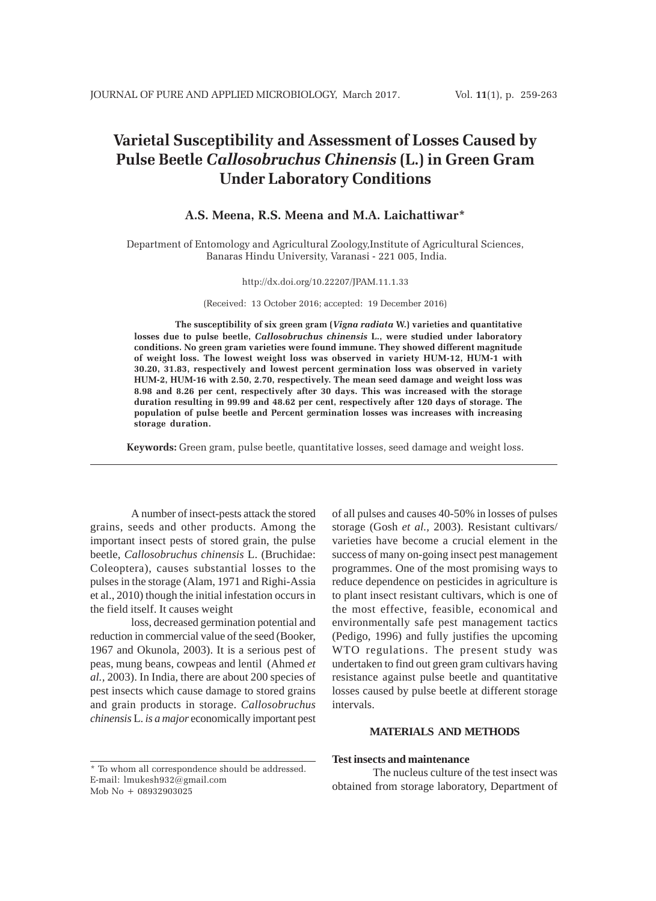# **Varietal Susceptibility and Assessment of Losses Caused by Pulse Beetle** *Callosobruchus Chinensis* **(L.) in Green Gram Under Laboratory Conditions**

# **A.S. Meena, R.S. Meena and M.A. Laichattiwar\***

Department of Entomology and Agricultural Zoology,Institute of Agricultural Sciences, Banaras Hindu University, Varanasi - 221 005, India.

#### http://dx.doi.org/10.22207/JPAM.11.1.33

(Received: 13 October 2016; accepted: 19 December 2016)

**The susceptibility of six green gram (***Vigna radiata* **W.) varieties and quantitative losses due to pulse beetle,** *Callosobruchus chinensis* **L., were studied under laboratory conditions. No green gram varieties were found immune. They showed different magnitude of weight loss. The lowest weight loss was observed in variety HUM-12, HUM-1 with 30.20, 31.83, respectively and lowest percent germination loss was observed in variety HUM-2, HUM-16 with 2.50, 2.70, respectively. The mean seed damage and weight loss was 8.98 and 8.26 per cent, respectively after 30 days. This was increased with the storage duration resulting in 99.99 and 48.62 per cent, respectively after 120 days of storage. The population of pulse beetle and Percent germination losses was increases with increasing storage duration.**

**Keywords:** Green gram, pulse beetle, quantitative losses, seed damage and weight loss.

A number of insect-pests attack the stored grains, seeds and other products. Among the important insect pests of stored grain, the pulse beetle, *Callosobruchus chinensis* L. (Bruchidae: Coleoptera), causes substantial losses to the pulses in the storage (Alam, 1971 and Righi-Assia et al., 2010) though the initial infestation occurs in the field itself. It causes weight

loss, decreased germination potential and reduction in commercial value of the seed (Booker, 1967 and Okunola, 2003). It is a serious pest of peas, mung beans, cowpeas and lentil (Ahmed *et al.,* 2003). In India, there are about 200 species of pest insects which cause damage to stored grains and grain products in storage. *Callosobruchus chinensis* L. *is a major* economically important pest

of all pulses and causes 40-50% in losses of pulses storage (Gosh *et al.,* 2003). Resistant cultivars/ varieties have become a crucial element in the success of many on-going insect pest management programmes. One of the most promising ways to reduce dependence on pesticides in agriculture is to plant insect resistant cultivars, which is one of the most effective, feasible, economical and environmentally safe pest management tactics (Pedigo, 1996) and fully justifies the upcoming WTO regulations. The present study was undertaken to find out green gram cultivars having resistance against pulse beetle and quantitative losses caused by pulse beetle at different storage intervals.

## **MATERIALS AND METHODS**

#### **Test insects and maintenance**

The nucleus culture of the test insect was obtained from storage laboratory, Department of

<sup>\*</sup> To whom all correspondence should be addressed. E-mail: lmukesh932@gmail.com Mob No + 08932903025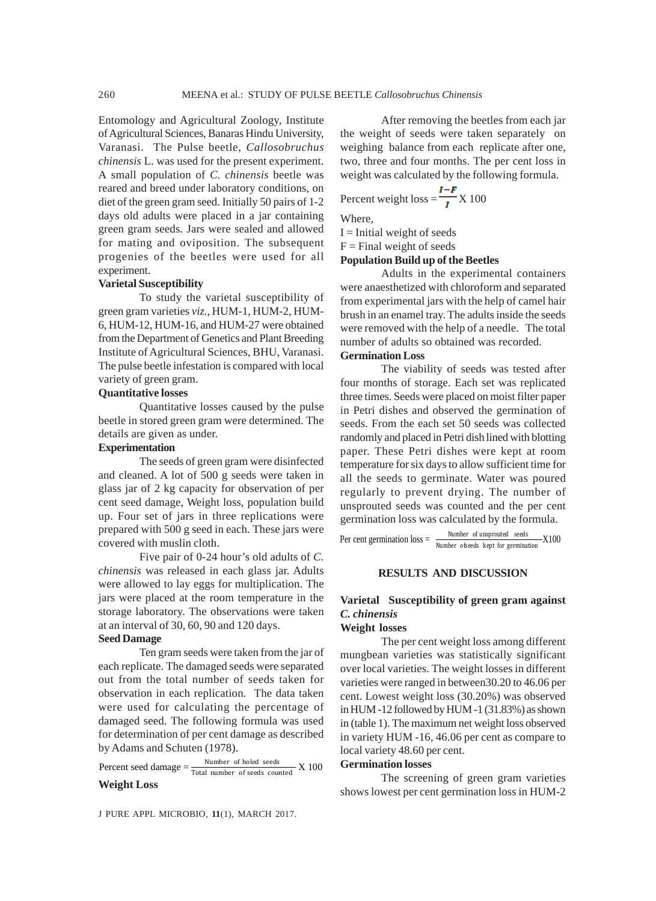Entomology and Agricultural Zoology, Institute of Agricultural Sciences, Banaras Hindu University, Varanasi. The Pulse beetle, *Callosobruchus chinensis* L. was used for the present experiment. A small population of *C. chinensis* beetle was reared and breed under laboratory conditions, on diet of the green gram seed. Initially 50 pairs of 1-2 days old adults were placed in a jar containing green gram seeds. Jars were sealed and allowed for mating and oviposition. The subsequent progenies of the beetles were used for all experiment.

#### **Varietal Susceptibility**

To study the varietal susceptibility of green gram varieties *viz.,* HUM-1, HUM-2, HUM-6, HUM-12, HUM-16, and HUM-27 were obtained from the Department of Genetics and Plant Breeding Institute of Agricultural Sciences, BHU, Varanasi. The pulse beetle infestation is compared with local variety of green gram.

### **Quantitative losses**

Quantitative losses caused by the pulse beetle in stored green gram were determined. The details are given as under.

#### **Experimentation**

The seeds of green gram were disinfected and cleaned. A lot of 500 g seeds were taken in glass jar of 2 kg capacity for observation of per cent seed damage, Weight loss, population build up. Four set of jars in three replications were prepared with 500 g seed in each. These jars were covered with muslin cloth.

Five pair of 0-24 hour's old adults of *C. chinensis* was released in each glass jar. Adults were allowed to lay eggs for multiplication. The jars were placed at the room temperature in the storage laboratory. The observations were taken at an interval of 30, 60, 90 and 120 days.

## **Seed Damage**

Ten gram seeds were taken from the jar of each replicate. The damaged seeds were separated out from the total number of seeds taken for observation in each replication. The data taken were used for calculating the percentage of damaged seed. The following formula was used for determination of per cent damage as described by Adams and Schuten (1978).

Percent seed damage  $=$   $\frac{\text{Number of holed seeds}}{\text{Total number of seeds counted}}$  X 100 **Weight Loss**

J PURE APPL MICROBIO*,* **11**(1), MARCH 2017.

After removing the beetles from each jar the weight of seeds were taken separately on weighing balance from each replicate after one, two, three and four months. The per cent loss in weight was calculated by the following formula.

Percent weight loss = 
$$
\frac{I - F}{I}
$$
 X 100

Where,

 $I =$  Initial weight of seeds

 $F =$ Final weight of seeds

#### **Population Build up of the Beetles**

Adults in the experimental containers were anaesthetized with chloroform and separated from experimental jars with the help of camel hair brush in an enamel tray. The adults inside the seeds were removed with the help of a needle. The total number of adults so obtained was recorded. **Germination Loss**

The viability of seeds was tested after four months of storage. Each set was replicated three times. Seeds were placed on moist filter paper in Petri dishes and observed the germination of seeds. From the each set 50 seeds was collected randomly and placed in Petri dish lined with blotting paper. These Petri dishes were kept at room temperature for six days to allow sufficient time for all the seeds to germinate. Water was poured regularly to prevent drying. The number of unsprouted seeds was counted and the per cent germination loss was calculated by the formula.

Per cent germination  $loss = \frac{Number\ of\ unsprovided\ seeds}{Number\ of\ seeds\ kept\ for\ germination} X100$ 

### **RESULTS AND DISCUSSION**

# **Varietal Susceptibility of green gram against** *C. chinensis*

# **Weight losses**

The per cent weight loss among different mungbean varieties was statistically significant over local varieties. The weight losses in different varieties were ranged in between30.20 to 46.06 per cent. Lowest weight loss (30.20%) was observed in HUM -12 followed by HUM -1 (31.83%) as shown in (table 1). The maximum net weight loss observed in variety HUM -16, 46.06 per cent as compare to local variety 48.60 per cent.

# **Germination losses**

The screening of green gram varieties shows lowest per cent germination loss in HUM-2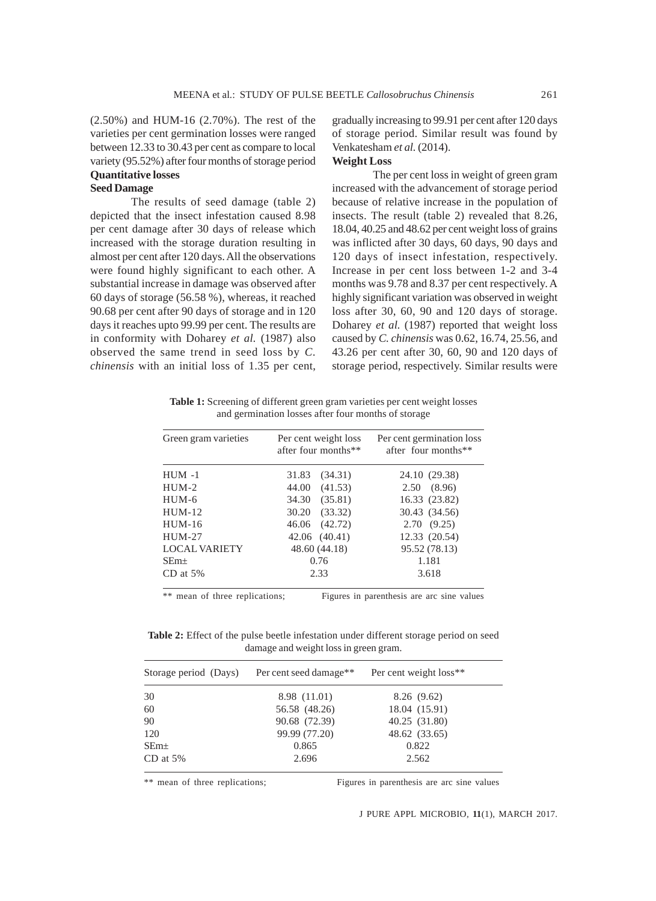(2.50%) and HUM-16 (2.70%). The rest of the varieties per cent germination losses were ranged between 12.33 to 30.43 per cent as compare to local variety (95.52%) after four months of storage period **Quantitative losses**

# **Seed Damage**

The results of seed damage (table 2) depicted that the insect infestation caused 8.98 per cent damage after 30 days of release which increased with the storage duration resulting in almost per cent after 120 days. All the observations were found highly significant to each other. A substantial increase in damage was observed after 60 days of storage (56.58 %), whereas, it reached 90.68 per cent after 90 days of storage and in 120 days it reaches upto 99.99 per cent. The results are in conformity with Doharey *et al.* (1987) also observed the same trend in seed loss by *C. chinensis* with an initial loss of 1.35 per cent,

gradually increasing to 99.91 per cent after 120 days of storage period. Similar result was found by Venkatesham *et al.* (2014).

# **Weight Loss**

The per cent loss in weight of green gram increased with the advancement of storage period because of relative increase in the population of insects. The result (table 2) revealed that 8.26, 18.04, 40.25 and 48.62 per cent weight loss of grains was inflicted after 30 days, 60 days, 90 days and 120 days of insect infestation, respectively. Increase in per cent loss between 1-2 and 3-4 months was 9.78 and 8.37 per cent respectively. A highly significant variation was observed in weight loss after 30, 60, 90 and 120 days of storage. Doharey *et al.* (1987) reported that weight loss caused by *C. chinensis* was 0.62, 16.74, 25.56, and 43.26 per cent after 30, 60, 90 and 120 days of storage period, respectively. Similar results were

**Table 1:** Screening of different green gram varieties per cent weight losses and germination losses after four months of storage

| Green gram varieties | Per cent weight loss<br>after four months** | Per cent germination loss<br>after four months** |
|----------------------|---------------------------------------------|--------------------------------------------------|
| $HUM -1$             | 31.83<br>(34.31)                            | 24.10 (29.38)                                    |
| $HUM-2$              | (41.53)<br>44.00                            | 2.50(8.96)                                       |
| $HUM-6$              | 34.30<br>(35.81)                            | 16.33 (23.82)                                    |
| $HUM-12$             | 30.20<br>(33.32)                            | 30.43 (34.56)                                    |
| $HUM-16$             | (42.72)<br>46.06                            | 2.70(9.25)                                       |
| $HUM-27$             | 42.06 (40.41)                               | 12.33 (20.54)                                    |
| <b>LOCAL VARIETY</b> | 48.60 (44.18)                               | 95.52 (78.13)                                    |
| $SEm+$               | 0.76                                        | 1.181                                            |
| $CD$ at $5\%$        | 2.33                                        | 3.618                                            |

\*\* mean of three replications; Figures in parenthesis are arc sine values

**Table 2:** Effect of the pulse beetle infestation under different storage period on seed damage and weight loss in green gram.

| Storage period (Days) | Per cent seed damage <sup>**</sup> | Per cent weight loss <sup>**</sup> |  |
|-----------------------|------------------------------------|------------------------------------|--|
| 30                    | 8.98 (11.01)                       | 8.26(9.62)                         |  |
| 60                    | 56.58 (48.26)                      | 18.04 (15.91)                      |  |
| 90                    | 90.68 (72.39)                      | 40.25 (31.80)                      |  |
| 120                   | 99.99 (77.20)                      | 48.62 (33.65)                      |  |
| $SEm+$                | 0.865                              | 0.822                              |  |
| $CD$ at 5%            | 2.696                              | 2.562                              |  |

\*\* mean of three replications; Figures in parenthesis are arc sine values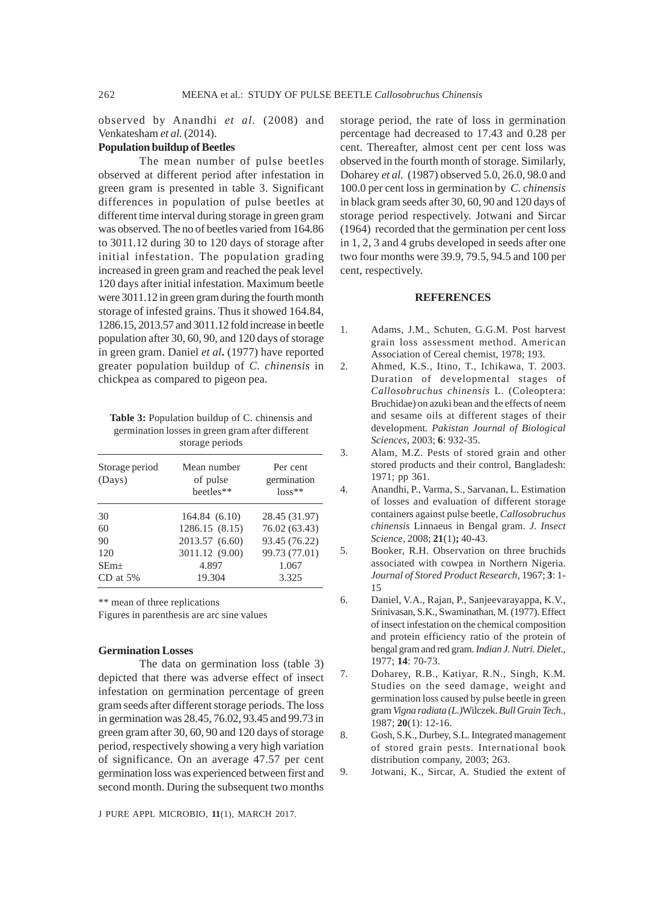observed by Anandhi *et al.* (2008) and Venkatesham *et al.* (2014).

## **Population buildup of Beetles**

The mean number of pulse beetles observed at different period after infestation in green gram is presented in table 3. Significant differences in population of pulse beetles at different time interval during storage in green gram was observed. The no of beetles varied from 164.86 to 3011.12 during 30 to 120 days of storage after initial infestation. The population grading increased in green gram and reached the peak level 120 days after initial infestation. Maximum beetle were 3011.12 in green gram during the fourth month storage of infested grains. Thus it showed 164.84, 1286.15, 2013.57 and 3011.12 fold increase in beetle population after 30, 60, 90, and 120 days of storage in green gram. Daniel *et al***.** (1977) have reported greater population buildup of *C. chinensis* in chickpea as compared to pigeon pea.

**Table 3:** Population buildup of C. chinensis and germination losses in green gram after different storage periods

| Storage period<br>(Days) | Mean number<br>of pulse<br>heetles** | Per cent<br>germination<br>$loss**$ |
|--------------------------|--------------------------------------|-------------------------------------|
| 30                       | 164.84 (6.10)                        | 28.45 (31.97)                       |
| 60                       | 1286.15 (8.15)                       | 76.02 (63.43)                       |
| 90                       | 2013.57 (6.60)                       | 93.45 (76.22)                       |
| 120                      | 3011.12 (9.00)                       | 99.73 (77.01)                       |
| $SEm+$                   | 4.897                                | 1.067                               |
| $CD$ at 5%               | 19.304                               | 3.325                               |

\*\* mean of three replications

Figures in parenthesis are arc sine values

#### **Germination Losses**

The data on germination loss (table 3) depicted that there was adverse effect of insect infestation on germination percentage of green gram seeds after different storage periods. The loss in germination was 28.45, 76.02, 93.45 and 99.73 in green gram after 30, 60, 90 and 120 days of storage period, respectively showing a very high variation of significance. On an average 47.57 per cent germination loss was experienced between first and second month. During the subsequent two months

J PURE APPL MICROBIO*,* **11**(1), MARCH 2017.

storage period, the rate of loss in germination percentage had decreased to 17.43 and 0.28 per cent. Thereafter, almost cent per cent loss was observed in the fourth month of storage. Similarly, Doharey *et al.* (1987) observed 5.0, 26.0, 98.0 and 100.0 per cent loss in germination by *C. chinensis* in black gram seeds after 30, 60, 90 and 120 days of storage period respectively. Jotwani and Sircar (1964) recorded that the germination per cent loss in 1, 2, 3 and 4 grubs developed in seeds after one two four months were 39.9, 79.5, 94.5 and 100 per cent, respectively.

#### **REFERENCES**

- 1. Adams, J.M., Schuten, G.G.M. Post harvest grain loss assessment method. American Association of Cereal chemist, 1978; 193.
- 2. Ahmed, K.S., Itino, T., Ichikawa, T. 2003. Duration of developmental stages of *Callosobruchus chinensis* L. (Coleoptera: Bruchidae) on azuki bean and the effects of neem and sesame oils at different stages of their development*. Pakistan Journal of Biological Sciences,* 2003; **6**: 932-35.
- 3. Alam, M.Z. Pests of stored grain and other stored products and their control, Bangladesh: 1971; pp 361.
- 4. Anandhi, P., Varma, S., Sarvanan, L. Estimation of losses and evaluation of different storage containers against pulse beetle, *Callosobruchus chinensis* Linnaeus in Bengal gram. *J. Insect Science*, 2008; **21**(1)**;** 40-43.
- 5. Booker, R.H. Observation on three bruchids associated with cowpea in Northern Nigeria. *Journal of Stored Product Research,* 1967; **3**: 1- 15
- 6. Daniel, V.A., Rajan, P., Sanjeevarayappa, K.V., Srinivasan, S.K., Swaminathan, M. (1977). Effect of insect infestation on the chemical composition and protein efficiency ratio of the protein of bengal gram and red gram. *Indian J. Nutri. Dielet*., 1977; **14**: 70-73.
- 7. Doharey, R.B., Katiyar, R.N., Singh, K.M. Studies on the seed damage, weight and germination loss caused by pulse beetle in green gram *Vigna radiata (L.)*Wilczek. *Bull Grain Tech.,* 1987; **20**(1): 12-16.
- 8. Gosh, S.K., Durbey, S.L. Integrated management of stored grain pests. International book distribution company, 2003; 263.
- 9. Jotwani, K., Sircar, A. Studied the extent of